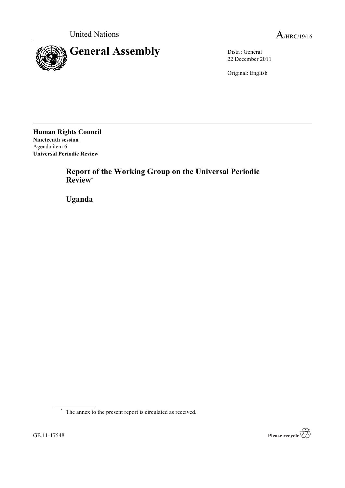



22 December 2011

Original: English

**Human Rights Council Nineteenth session** Agenda item 6 **Universal Periodic Review**

> **Report of the Working Group on the Universal Periodic Review**\*

**Uganda**

\* The annex to the present report is circulated as received.

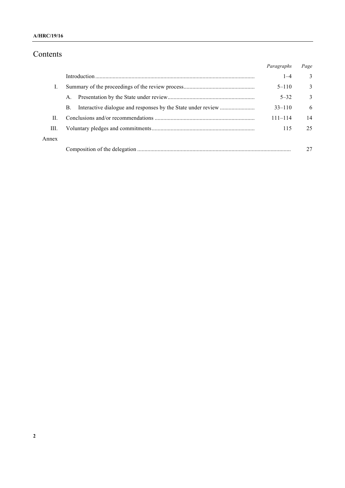#### **A/HRC/19/16**

# Contents

|       |             | Paragraphs  | Page |
|-------|-------------|-------------|------|
|       |             | $1 - 4$     | 3    |
|       |             | $5 - 110$   | 3    |
|       | $A_{\cdot}$ | $5 - 32$    | 3    |
|       | В.          | $33 - 110$  | 6    |
| H.    |             | $111 - 114$ | 14   |
| Ш.    |             | 115         | 25   |
| Annex |             |             |      |
|       |             |             |      |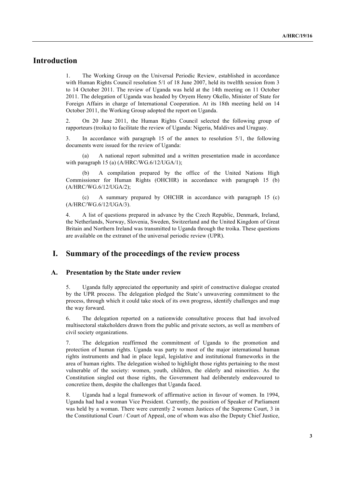# **Introduction**

1. The Working Group on the Universal Periodic Review, established in accordance with Human Rights Council resolution  $5/1$  of 18 June 2007, held its twelfth session from 3 to 14 October 2011. The review of Uganda was held at the 14th meeting on 11 October 2011. The delegation of Uganda was headed by Oryem Henry Okello, Minister of State for Foreign Affairs in charge of International Cooperation. At its 18th meeting held on 14 October 2011, the Working Group adopted the report on Uganda.

2. On 20 June 2011, the Human Rights Council selected the following group of rapporteurs (troika) to facilitate the review of Uganda: Nigeria, Maldives and Uruguay.

3. In accordance with paragraph 15 of the annex to resolution 5/1, the following documents were issued for the review of Uganda:

(a) A national report submitted and a written presentation made in accordance with paragraph 15 (a) (A/HRC/WG.6/12/UGA/1);

(b) A compilation prepared by the office of the United Nations High Commissioner for Human Rights (OHCHR) in accordance with paragraph 15 (b) (A/HRC/WG.6/12/UGA/2);

(c) A summary prepared by OHCHR in accordance with paragraph 15 (c) (A/HRC/WG.6/12/UGA/3).

4. A list of questions prepared in advance by the Czech Republic, Denmark, Ireland, the Netherlands, Norway, Slovenia, Sweden, Switzerland and the United Kingdom of Great Britain and Northern Ireland was transmitted to Uganda through the troika. These questions are available on the extranet of the universal periodic review (UPR).

# **I. Summary of the proceedings of the review process**

#### **A. Presentation by the State under review**

5. Uganda fully appreciated the opportunity and spirit of constructive dialogue created by the UPR process. The delegation pledged the State's unwavering commitment to the process, through which it could take stock of its own progress, identify challenges and map the way forward.

6. The delegation reported on a nationwide consultative process that had involved multisectoral stakeholders drawn from the public and private sectors, as well as members of civil society organizations.

7. The delegation reaffirmed the commitment of Uganda to the promotion and protection of human rights. Uganda was party to most of the major international human rights instruments and had in place legal, legislative and institutional frameworks in the area of human rights. The delegation wished to highlight those rights pertaining to the most vulnerable of the society: women, youth, children, the elderly and minorities. As the Constitution singled out those rights, the Government had deliberately endeavoured to concretize them, despite the challenges that Uganda faced.

8. Uganda had a legal framework of affirmative action in favour of women. In 1994, Uganda had had a woman Vice President. Currently, the position of Speaker of Parliament was held by a woman. There were currently 2 women Justices of the Supreme Court, 3 in the Constitutional Court / Court of Appeal, one of whom was also the Deputy Chief Justice,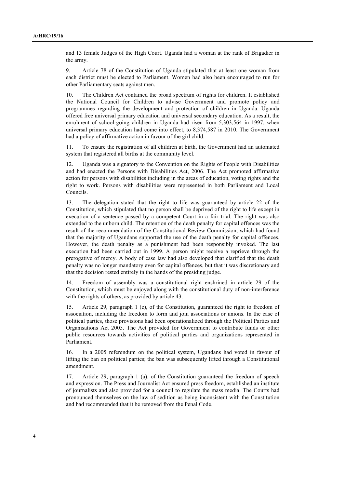and 13 female Judges of the High Court. Uganda had a woman at the rank of Brigadier in the army.

9. Article 78 of the Constitution of Uganda stipulated that at least one woman from each district must be elected to Parliament. Women had also been encouraged to run for other Parliamentary seats against men.

10. The Children Act contained the broad spectrum of rights for children. It established the National Council for Children to advise Government and promote policy and programmes regarding the development and protection of children in Uganda. Uganda offered free universal primary education and universal secondary education. As a result, the enrolment of school-going children in Uganda had risen from 5,303,564 in 1997, when universal primary education had come into effect, to 8,374,587 in 2010. The Government had a policy of affirmative action in favour of the girl child.

11. To ensure the registration of all children at birth, the Government had an automated system that registered all births at the community level.

12. Uganda was a signatory to the Convention on the Rights of People with Disabilities and had enacted the Persons with Disabilities Act, 2006. The Act promoted affirmative action for persons with disabilities including in the areas of education, voting rights and the right to work. Persons with disabilities were represented in both Parliament and Local Councils.

13. The delegation stated that the right to life was guaranteed by article 22 of the Constitution, which stipulated that no person shall be deprived of the right to life except in execution of a sentence passed by a competent Court in a fair trial. The right was also extended to the unborn child. The retention of the death penalty for capital offences was the result of the recommendation of the Constitutional Review Commission, which had found that the majority of Ugandans supported the use of the death penalty for capital offences. However, the death penalty as a punishment had been responsibly invoked. The last execution had been carried out in 1999. A person might receive a reprieve through the prerogative of mercy. A body of case law had also developed that clarified that the death penalty was no longer mandatory even for capital offences, but that it was discretionary and that the decision rested entirely in the hands of the presiding judge.

14. Freedom of assembly was a constitutional right enshrined in article 29 of the Constitution, which must be enjoyed along with the constitutional duty of non-interference with the rights of others, as provided by article 43.

15. Article 29, paragraph 1 (e), of the Constitution, guaranteed the right to freedom of association, including the freedom to form and join associations or unions. In the case of political parties, those provisions had been operationalized through the Political Parties and Organisations Act 2005. The Act provided for Government to contribute funds or other public resources towards activities of political parties and organizations represented in Parliament.

16. In a 2005 referendum on the political system, Ugandans had voted in favour of lifting the ban on political parties; the ban was subsequently lifted through a Constitutional amendment.

17. Article 29, paragraph 1 (a), of the Constitution guaranteed the freedom of speech and expression. The Press and Journalist Act ensured press freedom, established an institute of journalists and also provided for a council to regulate the mass media. The Courts had pronounced themselves on the law of sedition as being inconsistent with the Constitution and had recommended that it be removed from the Penal Code.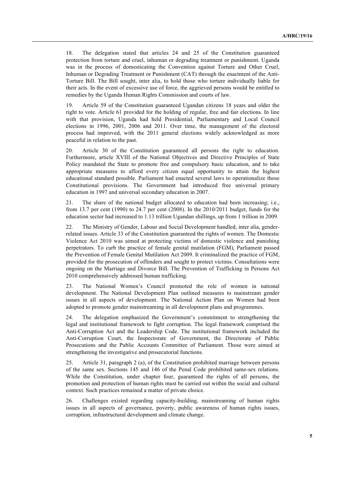18. The delegation stated that articles 24 and 25 of the Constitution guaranteed protection from torture and cruel, inhuman or degrading treatment or punishment. Uganda was in the process of domesticating the Convention against Torture and Other Cruel, Inhuman or Degrading Treatment or Punishment (CAT) through the enactment of the Anti-Torture Bill. The Bill sought, inter alia, to hold those who torture individually liable for their acts. In the event of excessive use of force, the aggrieved persons would be entitled to remedies by the Uganda Human Rights Commission and courts of law.

19. Article 59 of the Constitution guaranteed Ugandan citizens 18 years and older the right to vote. Article 61 provided for the holding of regular, free and fair elections. In line with that provision, Uganda had held Presidential, Parliamentary and Local Council elections in 1996, 2001, 2006 and 2011. Over time, the management of the electoral process had improved, with the 2011 general elections widely acknowledged as more peaceful in relation to the past.

20. Article 30 of the Constitution guaranteed all persons the right to education. Furthermore, article XVIII of the National Objectives and Directive Principles of State Policy mandated the State to promote free and compulsory basic education, and to take appropriate measures to afford every citizen equal opportunity to attain the highest educational standard possible. Parliament had enacted several laws to operationalize those Constitutional provisions. The Government had introduced free universal primary education in 1997 and universal secondary education in 2007.

21. The share of the national budget allocated to education had been increasing; i.e., from 13.7 per cent (1990) to 24.7 per cent (2008). In the 2010/2011 budget, funds for the education sector had increased to 1.13 trillion Ugandan shillings, up from 1 trillion in 2009.

22. The Ministry of Gender, Labour and Social Development handled, inter alia, genderrelated issues. Article 33 of the Constitution guaranteed the rights of women. The Domestic Violence Act 2010 was aimed at protecting victims of domestic violence and punishing perpetrators. To curb the practice of female genital mutilation (FGM), Parliament passed the Prevention of Female Genital Mutilation Act 2009. It criminalized the practice of FGM, provided for the prosecution of offenders and sought to protect victims. Consultations were ongoing on the Marriage and Divorce Bill. The Prevention of Trafficking in Persons Act 2010 comprehensively addressed human trafficking.

23. The National Women's Council promoted the role of women in national development. The National Development Plan outlined measures to mainstream gender issues in all aspects of development. The National Action Plan on Women had been adopted to promote gender mainstreaming in all development plans and programmes.

24. The delegation emphasized the Government's commitment to strengthening the legal and institutional framework to fight corruption. The legal framework comprised the Anti-Corruption Act and the Leadership Code. The institutional framework included the Anti-Corruption Court, the Inspectorate of Government, the Directorate of Public Prosecutions and the Public Accounts Committee of Parliament. Those were aimed at strengthening the investigative and prosecutorial functions.

25. Article 31, paragraph 2 (a), of the Constitution prohibited marriage between persons of the same sex. Sections 145 and 146 of the Penal Code prohibited same-sex relations. While the Constitution, under chapter four, guaranteed the rights of all persons, the promotion and protection of human rights must be carried out within the social and cultural context. Such practices remained a matter of private choice.

26. Challenges existed regarding capacity-building, mainstreaming of human rights issues in all aspects of governance, poverty, public awareness of human rights issues, corruption, infrastructural development and climate change.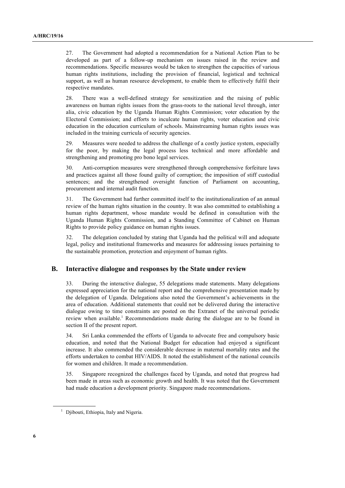27. The Government had adopted a recommendation for a National Action Plan to be developed as part of a follow-up mechanism on issues raised in the review and recommendations. Specific measures would be taken to strengthen the capacities of various human rights institutions, including the provision of financial, logistical and technical support, as well as human resource development, to enable them to effectively fulfil their respective mandates.

28. There was a well-defined strategy for sensitization and the raising of public awareness on human rights issues from the grass-roots to the national level through, inter alia, civic education by the Uganda Human Rights Commission; voter education by the Electoral Commission; and efforts to inculcate human rights, voter education and civic education in the education curriculum of schools. Mainstreaming human rights issues was included in the training curricula of security agencies.

29. Measures were needed to address the challenge of a costly justice system, especially for the poor, by making the legal process less technical and more affordable and strengthening and promoting pro bono legal services.

30. Anti-corruption measures were strengthened through comprehensive forfeiture laws and practices against all those found guilty of corruption; the imposition of stiff custodial sentences; and the strengthened oversight function of Parliament on accounting, procurement and internal audit function.

31. The Government had further committed itself to the institutionalization of an annual review of the human rights situation in the country. It was also committed to establishing a human rights department, whose mandate would be defined in consultation with the Uganda Human Rights Commission, and a Standing Committee of Cabinet on Human Rights to provide policy guidance on human rights issues.

32. The delegation concluded by stating that Uganda had the political will and adequate legal, policy and institutional frameworks and measures for addressing issues pertaining to the sustainable promotion, protection and enjoyment of human rights.

#### **B. Interactive dialogue and responses by the State under review**

33. During the interactive dialogue, 55 delegations made statements. Many delegations expressed appreciation for the national report and the comprehensive presentation made by the delegation of Uganda. Delegations also noted the Government's achievements in the area of education. Additional statements that could not be delivered during the interactive dialogue owing to time constraints are posted on the Extranet of the universal periodic review when available.<sup>1</sup> Recommendations made during the dialogue are to be found in section II of the present report.

34. Sri Lanka commended the efforts of Uganda to advocate free and compulsory basic education, and noted that the National Budget for education had enjoyed a significant increase. It also commended the considerable decrease in maternal mortality rates and the efforts undertaken to combat HIV/AIDS. It noted the establishment of the national councils for women and children. It made a recommendation.

35. Singapore recognized the challenges faced by Uganda, and noted that progress had been made in areas such as economic growth and health. It was noted that the Government had made education a development priority. Singapore made recommendations.

<sup>&</sup>lt;sup>1</sup> Djibouti, Ethiopia, Italy and Nigeria.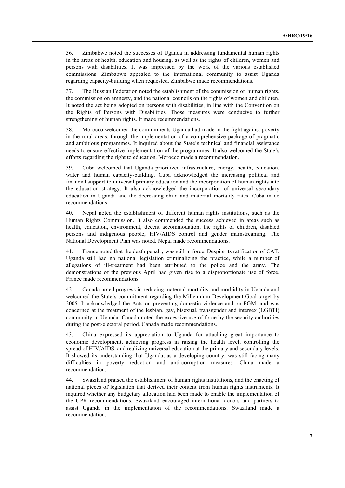36. Zimbabwe noted the successes of Uganda in addressing fundamental human rights in the areas of health, education and housing, as well as the rights of children, women and persons with disabilities. It was impressed by the work of the various established commissions. Zimbabwe appealed to the international community to assist Uganda regarding capacity-building when requested. Zimbabwe made recommendations.

37. The Russian Federation noted the establishment of the commission on human rights, the commission on amnesty, and the national councils on the rights of women and children. It noted the act being adopted on persons with disabilities, in line with the Convention on the Rights of Persons with Disabilities. Those measures were conducive to further strengthening of human rights. It made recommendations.

38. Morocco welcomed the commitments Uganda had made in the fight against poverty in the rural areas, through the implementation of a comprehensive package of pragmatic and ambitious programmes. It inquired about the State's technical and financial assistance needs to ensure effective implementation of the programmes. It also welcomed the State's efforts regarding the right to education. Morocco made a recommendation.

39. Cuba welcomed that Uganda prioritized infrastructure, energy, health, education, water and human capacity-building. Cuba acknowledged the increasing political and financial support to universal primary education and the incorporation of human rights into the education strategy. It also acknowledged the incorporation of universal secondary education in Uganda and the decreasing child and maternal mortality rates. Cuba made recommendations.

40. Nepal noted the establishment of different human rights institutions, such as the Human Rights Commission. It also commended the success achieved in areas such as health, education, environment, decent accommodation, the rights of children, disabled persons and indigenous people, HIV/AIDS control and gender mainstreaming. The National Development Plan was noted. Nepal made recommendations.

41. France noted that the death penalty was still in force. Despite its ratification of CAT, Uganda still had no national legislation criminalizing the practice, while a number of allegations of ill-treatment had been attributed to the police and the army. The demonstrations of the previous April had given rise to a disproportionate use of force. France made recommendations.

42. Canada noted progress in reducing maternal mortality and morbidity in Uganda and welcomed the State's commitment regarding the Millennium Development Goal target by 2005. It acknowledged the Acts on preventing domestic violence and on FGM, and was concerned at the treatment of the lesbian, gay, bisexual, transgender and intersex (LGBTI) community in Uganda. Canada noted the excessive use of force by the security authorities during the post-electoral period. Canada made recommendations.

43. China expressed its appreciation to Uganda for attaching great importance to economic development, achieving progress in raising the health level, controlling the spread of HIV/AIDS, and realizing universal education at the primary and secondary levels. It showed its understanding that Uganda, as a developing country, was still facing many difficulties in poverty reduction and anti-corruption measures. China made a recommendation.

44. Swaziland praised the establishment of human rights institutions, and the enacting of national pieces of legislation that derived their content from human rights instruments. It inquired whether any budgetary allocation had been made to enable the implementation of the UPR recommendations. Swaziland encouraged international donors and partners to assist Uganda in the implementation of the recommendations. Swaziland made a recommendation.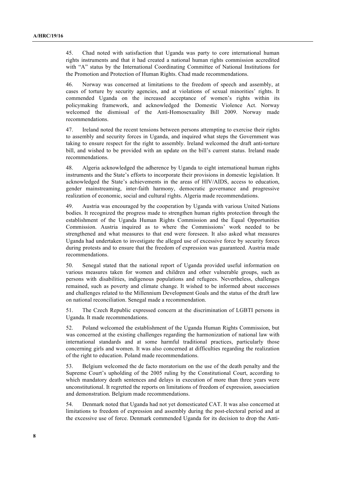45. Chad noted with satisfaction that Uganda was party to core international human rights instruments and that it had created a national human rights commission accredited with "A" status by the International Coordinating Committee of National Institutions for the Promotion and Protection of Human Rights. Chad made recommendations.

46. Norway was concerned at limitations to the freedom of speech and assembly, at cases of torture by security agencies, and at violations of sexual minorities' rights. It commended Uganda on the increased acceptance of women's rights within its policymaking framework, and acknowledged the Domestic Violence Act. Norway welcomed the dismissal of the Anti-Homosexuality Bill 2009. Norway made recommendations.

47. Ireland noted the recent tensions between persons attempting to exercise their rights to assembly and security forces in Uganda, and inquired what steps the Government was taking to ensure respect for the right to assembly. Ireland welcomed the draft anti-torture bill, and wished to be provided with an update on the bill's current status. Ireland made recommendations.

48. Algeria acknowledged the adherence by Uganda to eight international human rights instruments and the State's efforts to incorporate their provisions in domestic legislation. It acknowledged the State's achievements in the areas of HIV/AIDS, access to education, gender mainstreaming, inter-faith harmony, democratic governance and progressive realization of economic, social and cultural rights. Algeria made recommendations.

49. Austria was encouraged by the cooperation by Uganda with various United Nations bodies. It recognized the progress made to strengthen human rights protection through the establishment of the Uganda Human Rights Commission and the Equal Opportunities Commission. Austria inquired as to where the Commissions' work needed to be strengthened and what measures to that end were foreseen. It also asked what measures Uganda had undertaken to investigate the alleged use of excessive force by security forces during protests and to ensure that the freedom of expression was guaranteed. Austria made recommendations.

50. Senegal stated that the national report of Uganda provided useful information on various measures taken for women and children and other vulnerable groups, such as persons with disabilities, indigenous populations and refugees. Nevertheless, challenges remained, such as poverty and climate change. It wished to be informed about successes and challenges related to the Millennium Development Goals and the status of the draft law on national reconciliation. Senegal made a recommendation.

51. The Czech Republic expressed concern at the discrimination of LGBTI persons in Uganda. It made recommendations.

52. Poland welcomed the establishment of the Uganda Human Rights Commission, but was concerned at the existing challenges regarding the harmonization of national law with international standards and at some harmful traditional practices, particularly those concerning girls and women. It was also concerned at difficulties regarding the realization of the right to education. Poland made recommendations.

53. Belgium welcomed the de facto moratorium on the use of the death penalty and the Supreme Court's upholding of the 2005 ruling by the Constitutional Court, according to which mandatory death sentences and delays in execution of more than three years were unconstitutional. It regretted the reports on limitations of freedom of expression, association and demonstration. Belgium made recommendations.

54. Denmark noted that Uganda had not yet domesticated CAT. It was also concerned at limitations to freedom of expression and assembly during the post-electoral period and at the excessive use of force. Denmark commended Uganda for its decision to drop the Anti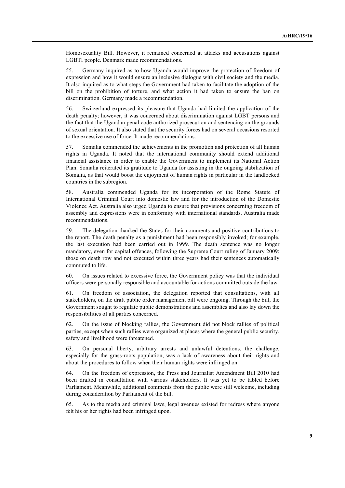Homosexuality Bill. However, it remained concerned at attacks and accusations against LGBTI people. Denmark made recommendations.

55. Germany inquired as to how Uganda would improve the protection of freedom of expression and how it would ensure an inclusive dialogue with civil society and the media. It also inquired as to what steps the Government had taken to facilitate the adoption of the bill on the prohibition of torture, and what action it had taken to ensure the ban on discrimination. Germany made a recommendation.

56. Switzerland expressed its pleasure that Uganda had limited the application of the death penalty; however, it was concerned about discrimination against LGBT persons and the fact that the Ugandan penal code authorized prosecution and sentencing on the grounds of sexual orientation. It also stated that the security forces had on several occasions resorted to the excessive use of force. It made recommendations.

57. Somalia commended the achievements in the promotion and protection of all human rights in Uganda. It noted that the international community should extend additional financial assistance in order to enable the Government to implement its National Action Plan. Somalia reiterated its gratitude to Uganda for assisting in the ongoing stabilization of Somalia, as that would boost the enjoyment of human rights in particular in the landlocked countries in the subregion.

58. Australia commended Uganda for its incorporation of the Rome Statute of International Criminal Court into domestic law and for the introduction of the Domestic Violence Act. Australia also urged Uganda to ensure that provisions concerning freedom of assembly and expressions were in conformity with international standards. Australia made recommendations.

59. The delegation thanked the States for their comments and positive contributions to the report. The death penalty as a punishment had been responsibly invoked; for example, the last execution had been carried out in 1999. The death sentence was no longer mandatory, even for capital offences, following the Supreme Court ruling of January 2009; those on death row and not executed within three years had their sentences automatically commuted to life.

60. On issues related to excessive force, the Government policy was that the individual officers were personally responsible and accountable for actions committed outside the law.

61. On freedom of association, the delegation reported that consultations, with all stakeholders, on the draft public order management bill were ongoing. Through the bill, the Government sought to regulate public demonstrations and assemblies and also lay down the responsibilities of all parties concerned.

62. On the issue of blocking rallies, the Government did not block rallies of political parties, except when such rallies were organized at places where the general public security, safety and livelihood were threatened.

63. On personal liberty, arbitrary arrests and unlawful detentions, the challenge, especially for the grass-roots population, was a lack of awareness about their rights and about the procedures to follow when their human rights were infringed on.

64. On the freedom of expression, the Press and Journalist Amendment Bill 2010 had been drafted in consultation with various stakeholders. It was yet to be tabled before Parliament. Meanwhile, additional comments from the public were still welcome, including during consideration by Parliament of the bill.

65. As to the media and criminal laws, legal avenues existed for redress where anyone felt his or her rights had been infringed upon.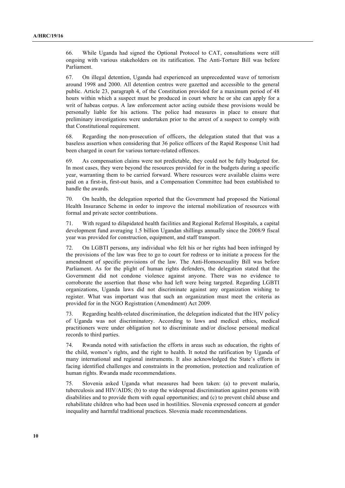66. While Uganda had signed the Optional Protocol to CAT, consultations were still ongoing with various stakeholders on its ratification. The Anti-Torture Bill was before Parliament.

67. On illegal detention, Uganda had experienced an unprecedented wave of terrorism around 1998 and 2000. All detention centres were gazetted and accessible to the general public. Article 23, paragraph 4, of the Constitution provided for a maximum period of 48 hours within which a suspect must be produced in court where he or she can apply for a writ of habeas corpus. A law enforcement actor acting outside these provisions would be personally liable for his actions. The police had measures in place to ensure that preliminary investigations were undertaken prior to the arrest of a suspect to comply with that Constitutional requirement.

68. Regarding the non-prosecution of officers, the delegation stated that that was a baseless assertion when considering that 36 police officers of the Rapid Response Unit had been charged in court for various torture-related offences.

69. As compensation claims were not predictable, they could not be fully budgeted for. In most cases, they were beyond the resources provided for in the budgets during a specific year, warranting them to be carried forward. Where resources were available claims were paid on a first-in, first-out basis, and a Compensation Committee had been established to handle the awards.

70. On health, the delegation reported that the Government had proposed the National Health Insurance Scheme in order to improve the internal mobilization of resources with formal and private sector contributions.

71. With regard to dilapidated health facilities and Regional Referral Hospitals, a capital development fund averaging 1.5 billion Ugandan shillings annually since the 2008/9 fiscal year was provided for construction, equipment, and staff transport.

72. On LGBTI persons, any individual who felt his or her rights had been infringed by the provisions of the law was free to go to court for redress or to initiate a process for the amendment of specific provisions of the law. The Anti-Homosexuality Bill was before Parliament. As for the plight of human rights defenders, the delegation stated that the Government did not condone violence against anyone. There was no evidence to corroborate the assertion that those who had left were being targeted. Regarding LGBTI organizations, Uganda laws did not discriminate against any organization wishing to register. What was important was that such an organization must meet the criteria as provided for in the NGO Registration (Amendment) Act 2009.

73. Regarding health-related discrimination, the delegation indicated that the HIV policy of Uganda was not discriminatory. According to laws and medical ethics, medical practitioners were under obligation not to discriminate and/or disclose personal medical records to third parties.

74. Rwanda noted with satisfaction the efforts in areas such as education, the rights of the child, women's rights, and the right to health. It noted the ratification by Uganda of many international and regional instruments. It also acknowledged the State's efforts in facing identified challenges and constraints in the promotion, protection and realization of human rights. Rwanda made recommendations.

75. Slovenia asked Uganda what measures had been taken: (a) to prevent malaria, tuberculosis and HIV/AIDS; (b) to stop the widespread discrimination against persons with disabilities and to provide them with equal opportunities; and (c) to prevent child abuse and rehabilitate children who had been used in hostilities. Slovenia expressed concern at gender inequality and harmful traditional practices. Slovenia made recommendations.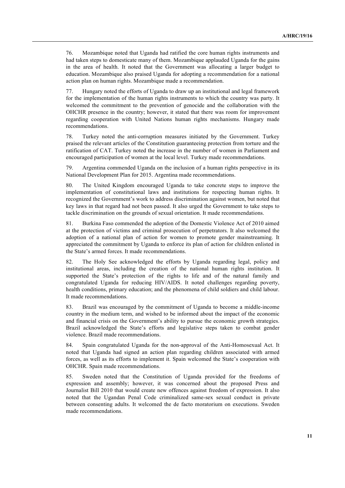76. Mozambique noted that Uganda had ratified the core human rights instruments and had taken steps to domesticate many of them. Mozambique applauded Uganda for the gains in the area of health. It noted that the Government was allocating a larger budget to education. Mozambique also praised Uganda for adopting a recommendation for a national action plan on human rights. Mozambique made a recommendation.

77. Hungary noted the efforts of Uganda to draw up an institutional and legal framework for the implementation of the human rights instruments to which the country was party. It welcomed the commitment to the prevention of genocide and the collaboration with the OHCHR presence in the country; however, it stated that there was room for improvement regarding cooperation with United Nations human rights mechanisms. Hungary made recommendations.

78. Turkey noted the anti-corruption measures initiated by the Government. Turkey praised the relevant articles of the Constitution guaranteeing protection from torture and the ratification of CAT. Turkey noted the increase in the number of women in Parliament and encouraged participation of women at the local level. Turkey made recommendations.

79. Argentina commended Uganda on the inclusion of a human rights perspective in its National Development Plan for 2015. Argentina made recommendations.

80. The United Kingdom encouraged Uganda to take concrete steps to improve the implementation of constitutional laws and institutions for respecting human rights. It recognized the Government's work to address discrimination against women, but noted that key laws in that regard had not been passed. It also urged the Government to take steps to tackle discrimination on the grounds of sexual orientation. It made recommendations.

81. Burkina Faso commended the adoption of the Domestic Violence Act of 2010 aimed at the protection of victims and criminal prosecution of perpetrators. It also welcomed the adoption of a national plan of action for women to promote gender mainstreaming. It appreciated the commitment by Uganda to enforce its plan of action for children enlisted in the State's armed forces. It made recommendations.

82. The Holy See acknowledged the efforts by Uganda regarding legal, policy and institutional areas, including the creation of the national human rights institution. It supported the State's protection of the rights to life and of the natural family and congratulated Uganda for reducing HIV/AIDS. It noted challenges regarding poverty, health conditions, primary education; and the phenomena of child soldiers and child labour. It made recommendations.

83. Brazil was encouraged by the commitment of Uganda to become a middle-income country in the medium term, and wished to be informed about the impact of the economic and financial crisis on the Government's ability to pursue the economic growth strategies. Brazil acknowledged the State's efforts and legislative steps taken to combat gender violence. Brazil made recommendations.

84. Spain congratulated Uganda for the non-approval of the Anti-Homosexual Act. It noted that Uganda had signed an action plan regarding children associated with armed forces, as well as its efforts to implement it. Spain welcomed the State's cooperation with OHCHR. Spain made recommendations.

85. Sweden noted that the Constitution of Uganda provided for the freedoms of expression and assembly; however, it was concerned about the proposed Press and Journalist Bill 2010 that would create new offences against freedom of expression. It also noted that the Ugandan Penal Code criminalized same-sex sexual conduct in private between consenting adults. It welcomed the de facto moratorium on executions. Sweden made recommendations.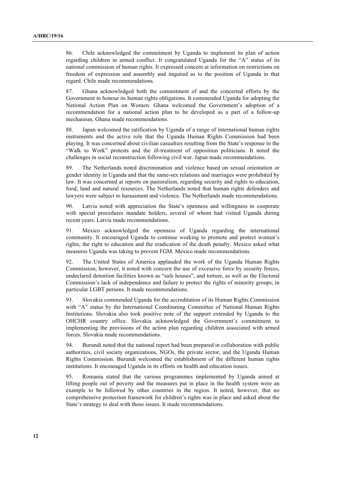86. Chile acknowledged the commitment by Uganda to implement its plan of action regarding children in armed conflict. It congratulated Uganda for the "A" status of its national commission of human rights. It expressed concern at information on restrictions on freedom of expression and assembly and inquired as to the position of Uganda in that regard. Chile made recommendations.

87. Ghana acknowledged both the commitment of and the concerted efforts by the Government to honour its human rights obligations. It commended Uganda for adopting the National Action Plan on Women. Ghana welcomed the Government's adoption of a recommendation for a national action plan to be developed as a part of a follow-up mechanism. Ghana made recommendations.

88. Japan welcomed the ratification by Uganda of a range of international human rights instruments and the active role that the Uganda Human Rights Commission had been playing. It was concerned about civilian casualties resulting from the State's response to the "Walk to Work" protests and the ill-treatment of opposition politicians. It noted the challenges in social reconstruction following civil war. Japan made recommendations.

89. The Netherlands noted discrimination and violence based on sexual orientation or gender identity in Uganda and that the same-sex relations and marriages were prohibited by law. It was concerned at reports on pastoralism, regarding security and rights to education, food, land and natural resources. The Netherlands noted that human rights defenders and lawyers were subject to harassment and violence. The Netherlands made recommendations.

90. Latvia noted with appreciation the State's openness and willingness to cooperate with special procedures mandate holders, several of whom had visited Uganda during recent years. Latvia made recommendations.

91. Mexico acknowledged the openness of Uganda regarding the international community. It encouraged Uganda to continue working to promote and protect women's rights, the right to education and the eradication of the death penalty. Mexico asked what measures Uganda was taking to prevent FGM. Mexico made recommendations.

92. The United States of America applauded the work of the Uganda Human Rights Commission; however, it noted with concern the use of excessive force by security forces, undeclared detention facilities known as "safe houses", and torture, as well as the Electoral Commission's lack of independence and failure to protect the rights of minority groups, in particular LGBT persons. It made recommendations.

93. Slovakia commended Uganda for the accreditation of its Human Rights Commission with "A" status by the International Coordinating Committee of National Human Rights Institutions. Slovakia also took positive note of the support extended by Uganda to the OHCHR country office. Slovakia acknowledged the Government's commitment to implementing the provisions of the action plan regarding children associated with armed forces. Slovakia made recommendations.

94. Burundi noted that the national report had been prepared in collaboration with public authorities, civil society organizations, NGOs, the private sector, and the Uganda Human Rights Commission. Burundi welcomed the establishment of the different human rights institutions. It encouraged Uganda in its efforts on health and education issues.

95. Romania stated that the various programmes implemented by Uganda aimed at lifting people out of poverty and the measures put in place in the health system were an example to be followed by other countries in the region. It noted, however, that no comprehensive protection framework for children's rights was in place and asked about the State's strategy to deal with those issues. It made recommendations.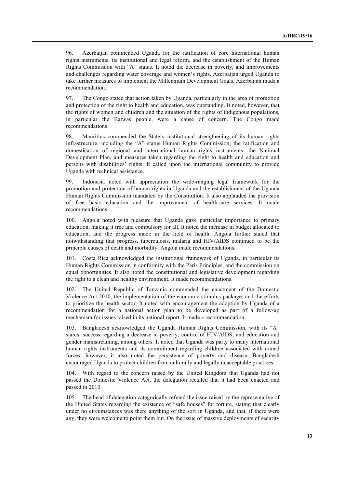96. Azerbaijan commended Uganda for the ratification of core international human rights instruments, its institutional and legal reform, and the establishment of the Human Rights Commission with "A" status. It noted the decrease in poverty, and improvements and challenges regarding water coverage and women's rights. Azerbaijan urged Uganda to take further measures to implement the Millennium Development Goals. Azerbaijan made a recommendation.

97. The Congo stated that action taken by Uganda, particularly in the area of promotion and protection of the right to health and education, was outstanding. It noted, however, that the rights of women and children and the situation of the rights of indigenous populations, in particular the Batwas people, were a cause of concern. The Congo made recommendations.

98. Mauritius commended the State's institutional strengthening of its human rights infrastructure, including the "A" status Human Rights Commission; the ratification and domestication of regional and international human rights instruments; the National Development Plan, and measures taken regarding the right to health and education and persons with disabilities' rights. It called upon the international community to provide Uganda with technical assistance.

99. Indonesia noted with appreciation the wide-ranging legal framework for the promotion and protection of human rights in Uganda and the establishment of the Uganda Human Rights Commission mandated by the Constitution. It also applauded the provision of free basic education and the improvement of health-care services. It made recommendations.

100. Angola noted with pleasure that Uganda gave particular importance to primary education, making it free and compulsory for all. It noted the increase in budget allocated to education, and the progress made in the field of health. Angola further stated that notwithstanding that progress, tuberculosis, malaria and HIV/AIDS continued to be the principle causes of death and morbidity. Angola made recommendations.

101. Costa Rica acknowledged the institutional framework of Uganda, in particular its Human Rights Commission in conformity with the Paris Principles, and the commission on equal opportunities. It also noted the constitutional and legislative development regarding the right to a clean and healthy environment. It made recommendations.

102. The United Republic of Tanzania commended the enactment of the Domestic Violence Act 2010, the implementation of the economic stimulus package, and the efforts to prioritize the health sector. It noted with encouragement the adoption by Uganda of a recommendation for a national action plan to be developed as part of a follow-up mechanism for issues raised in its national report. It made a recommendation.

103. Bangladesh acknowledged the Uganda Human Rights Commission, with its "A" status; success regarding a decrease in poverty; control of HIV/AIDS; and education and gender mainstreaming, among others. It noted that Uganda was party to many international human rights instruments and its commitment regarding children associated with armed forces; however, it also noted the persistence of poverty and disease. Bangladesh encouraged Uganda to protect children from culturally and legally unacceptable practices.

104. With regard to the concern raised by the United Kingdom that Uganda had not passed the Domestic Violence Act, the delegation recalled that it had been enacted and passed in 2010.

105. The head of delegation categorically refuted the issue raised by the representative of the United States regarding the existence of "safe houses" for torture, stating that clearly under no circumstances was there anything of the sort in Uganda, and that, if there were any, they were welcome to point them out. On the issue of massive deployments of security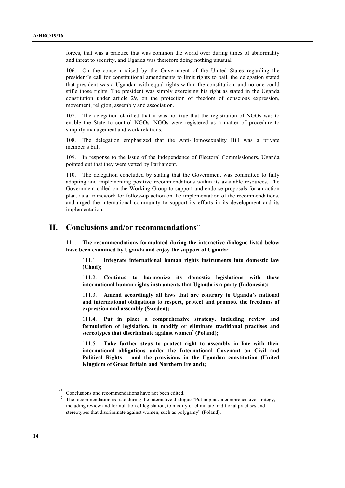forces, that was a practice that was common the world over during times of abnormality and threat to security, and Uganda was therefore doing nothing unusual.

106. On the concern raised by the Government of the United States regarding the president's call for constitutional amendments to limit rights to bail, the delegation stated that president was a Ugandan with equal rights within the constitution, and no one could stifle those rights. The president was simply exercising his right as stated in the Uganda constitution under article 29, on the protection of freedom of conscious expression, movement, religion, assembly and association.

107. The delegation clarified that it was not true that the registration of NGOs was to enable the State to control NGOs. NGOs were registered as a matter of procedure to simplify management and work relations.

108. The delegation emphasized that the Anti-Homosexuality Bill was a private member's bill.

109. In response to the issue of the independence of Electoral Commissioners, Uganda pointed out that they were vetted by Parliament.

110. The delegation concluded by stating that the Government was committed to fully adopting and implementing positive recommendations within its available resources. The Government called on the Working Group to support and endorse proposals for an action plan, as a framework for follow-up action on the implementation of the recommendations, and urged the international community to support its efforts in its development and its implementation.

# **II. Conclusions and/or recommendations**\*\*

111. **The recommendations formulated during the interactive dialogue listed below have been examined by Uganda and enjoy the support of Uganda:**

111.1 **Integrate international human rights instruments into domestic law (Chad);**

111.2. **Continue to harmonize its domestic legislations with those international human rights instruments that Uganda is a party (Indonesia);**

111.3. **Amend accordingly all laws that are contrary to Uganda's national and international obligations to respect, protect and promote the freedoms of expression and assembly (Sweden);**

111.4. **Put in place a comprehensive strategy, including review and formulation of legislation, to modify or eliminate traditional practises and stereotypes that discriminate against women<sup>2</sup> (Poland);**

111.5. **Take further steps to protect right to assembly in line with their international obligations under the International Covenant on Civil and Political Rights and the provisions in the Ugandan constitution (United Kingdom of Great Britain and Northern Ireland);**

Conclusions and recommendations have not been edited.

 $2\degree$  The recommendation as read during the interactive dialogue "Put in place a comprehensive strategy, including review and formulation of legislation, to modify or eliminate traditional practises and stereotypes that discriminate against women, such as polygamy" (Poland).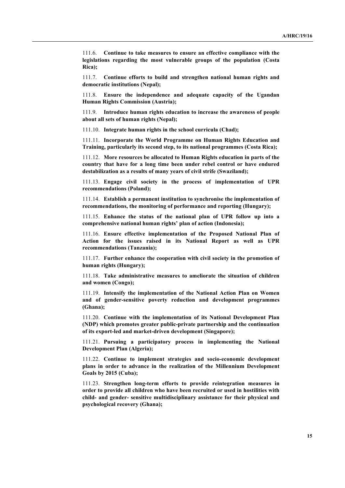111.6. **Continue to take measures to ensure an effective compliance with the legislations regarding the most vulnerable groups of the population (Costa Rica);**

111.7. **Continue efforts to build and strengthen national human rights and democratic institutions (Nepal);**

111.8. **Ensure the independence and adequate capacity of the Ugandan Human Rights Commission (Austria);**

111.9. **Introduce human rights education to increase the awareness of people about all sets of human rights (Nepal);**

111.10. **Integrate human rights in the school curricula (Chad);**

111.11. **Incorporate the World Programme on Human Rights Education and Training, particularly its second step, to its national programmes (Costa Rica);**

111.12. **More resources be allocated to Human Rights education in parts of the country that have for a long time been under rebel control or have endured destabilization as a results of many years of civil strife (Swaziland);**

111.13. **Engage civil society in the process of implementation of UPR recommendations (Poland);**

111.14. **Establish a permanent institution to synchronise the implementation of recommendations, the monitoring of performance and reporting (Hungary);**

111.15. **Enhance the status of the national plan of UPR follow up into a comprehensive national human rights' plan of action (Indonesia);**

111.16. **Ensure effective implementation of the Proposed National Plan of Action for the issues raised in its National Report as well as UPR recommendations (Tanzania);**

111.17. **Further enhance the cooperation with civil society in the promotion of human rights (Hungary);**

111.18. **Take administrative measures to ameliorate the situation of children and women (Congo);**

111.19. **Intensify the implementation of the National Action Plan on Women and of gender-sensitive poverty reduction and development programmes (Ghana);**

111.20. **Continue with the implementation of its National Development Plan (NDP) which promotes greater public-private partnership and the continuation of its export-led and market-driven development (Singapore);**

111.21. **Pursuing a participatory process in implementing the National Development Plan (Algeria);**

111.22. **Continue to implement strategies and socio-economic development plans in order to advance in the realization of the Millennium Development Goals by 2015 (Cuba);**

111.23. **Strengthen long-term efforts to provide reintegration measures in order to provide all children who have been recruited or used in hostilities with child- and gender- sensitive multidisciplinary assistance for their physical and psychological recovery (Ghana);**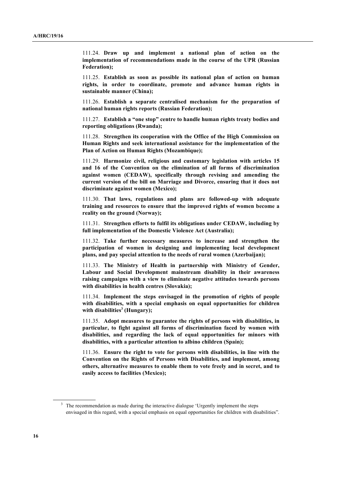111.24. **Draw up and implement a national plan of action on the implementation of recommendations made in the course of the UPR (Russian Federation);**

111.25. **Establish as soon as possible its national plan of action on human rights, in order to coordinate, promote and advance human rights in sustainable manner (China);**

111.26. **Establish a separate centralised mechanism for the preparation of national human rights reports (Russian Federation);**

111.27. **Establish a "one stop" centre to handle human rights treaty bodies and reporting obligations (Rwanda);**

111.28. **Strengthen its cooperation with the Office of the High Commission on Human Rights and seek international assistance for the implementation of the Plan of Action on Human Rights (Mozambique);**

111.29. **Harmonize civil, religious and customary legislation with articles 15 and 16 of the Convention on the elimination of all forms of discrimination against women (CEDAW), specifically through revising and amending the current version of the bill on Marriage and Divorce, ensuring that it does not discriminate against women (Mexico);**

111.30. **That laws, regulations and plans are followed-up with adequate training and resources to ensure that the improved rights of women become a reality on the ground (Norway);**

111.31. **Strengthen efforts to fulfil its obligations under CEDAW, including by full implementation of the Domestic Violence Act (Australia);**

111.32. **Take further necessary measures to increase and strengthen the participation of women in designing and implementing local development plans, and pay special attention to the needs of rural women (Azerbaijan);**

111.33. **The Ministry of Health in partnership with Ministry of Gender, Labour and Social Development mainstream disability in their awareness raising campaigns with a view to eliminate negative attitudes towards persons with disabilities in health centres (Slovakia);**

111.34. **Implement the steps envisaged in the promotion of rights of people with disabilities, with a special emphasis on equal opportunities for children**  with disabilities<sup>3</sup> (Hungary);

111.35. **Adopt measures to guarantee the rights of persons with disabilities, in particular, to fight against all forms of discrimination faced by women with disabilities, and regarding the lack of equal opportunities for minors with disabilities, with a particular attention to albino children (Spain);**

111.36. **Ensure the right to vote for persons with disabilities, in line with the Convention on the Rights of Persons with Disabilities, and implement, among others, alternative measures to enable them to vote freely and in secret, and to easily access to facilities (Mexico);**

<sup>&</sup>lt;sup>3</sup> The recommendation as made during the interactive dialogue 'Urgently implement the steps envisaged in this regard, with a special emphasis on equal opportunities for children with disabilities".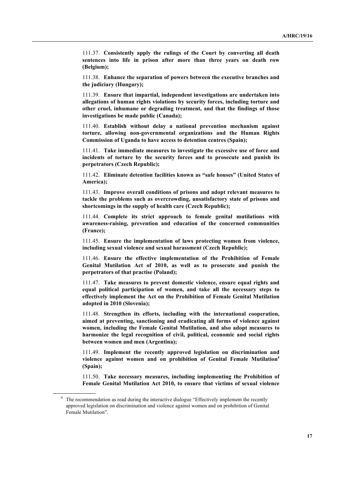111.37. **Consistently apply the rulings of the Court by converting all death sentences into life in prison after more than three years on death row (Belgium);**

111.38. **Enhance the separation of powers between the executive branches and the judiciary (Hungary);**

111.39. **Ensure that impartial, independent investigations are undertaken into allegations of human rights violations by security forces, including torture and other cruel, inhumane or degrading treatment, and that the findings of those investigations be made public (Canada);**

111.40. **Establish without delay a national prevention mechanism against torture, allowing non-governmental organizations and the Human Rights Commission of Uganda to have access to detention centres (Spain);**

111.41. **Take immediate measures to investigate the excessive use of force and incidents of torture by the security forces and to prosecute and punish its perpetrators (Czech Republic);**

111.42. **Eliminate detention facilities known as "safe houses" (United States of America);**

111.43. **Improve overall conditions of prisons and adopt relevant measures to tackle the problems such as overcrowding, unsatisfactory state of prisons and shortcomings in the supply of health care (Czech Republic);**

111.44. **Complete its strict approach to female genital mutilations with awareness-raising, prevention and education of the concerned communities (France);**

111.45. **Ensure the implementation of laws protecting women from violence, including sexual violence and sexual harassment (Czech Republic);**

111.46. **Ensure the effective implementation of the Prohibition of Female Genital Mutilation Act of 2010, as well as to prosecute and punish the perpetrators of that practise (Poland);**

111.47. **Take measures to prevent domestic violence, ensure equal rights and equal political participation of women, and take all the necessary steps to effectively implement the Act on the Prohibition of Female Genital Mutilation adopted in 2010 (Slovenia);**

111.48. **Strengthen its efforts, including with the international cooperation, aimed at preventing, sanctioning and eradicating all forms of violence against women, including the Female Genital Mutilation, and also adopt measures to harmonize the legal recognition of civil, political, economic and social rights between women and men (Argentina);**

111.49. **Implement the recently approved legislation on discrimination and violence against women and on prohibition of Genital Female Mutilation<sup>4</sup> (Spain);**

111.50. **Take necessary measures, including implementing the Prohibition of Female Genital Mutilation Act 2010, to ensure that victims of sexual violence** 

<sup>&</sup>lt;sup>4</sup> The recommendation as read during the interactive dialogue "Effectively implement the recently approved legislation on discrimination and violence against women and on prohibition of Genital Female Mutilation".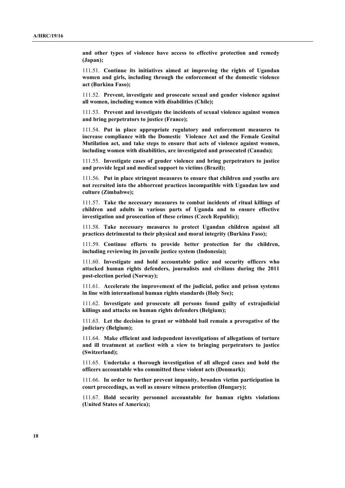**and other types of violence have access to effective protection and remedy (Japan);**

111.51. **Continue its initiatives aimed at improving the rights of Ugandan women and girls, including through the enforcement of the domestic violence act (Burkina Faso);**

111.52. **Prevent, investigate and prosecute sexual and gender violence against all women, including women with disabilities (Chile);**

111.53. **Prevent and investigate the incidents of sexual violence against women and bring perpetrators to justice (France);**

111.54. **Put in place appropriate regulatory and enforcement measures to increase compliance with the Domestic Violence Act and the Female Genital Mutilation act, and take steps to ensure that acts of violence against women, including women with disabilities, are investigated and prosecuted (Canada);**

111.55. **Investigate cases of gender violence and bring perpetrators to justice and provide legal and medical support to victims (Brazil);**

111.56. **Put in place stringent measures to ensure that children and youths are not recruited into the abhorrent practices incompatible with Ugandan law and culture (Zimbabwe);**

111.57. **Take the necessary measures to combat incidents of ritual killings of children and adults in various parts of Uganda and to ensure effective investigation and prosecution of these crimes (Czech Republic);**

111.58. **Take necessary measures to protect Ugandan children against all practices detrimental to their physical and moral integrity (Burkina Faso);**

111.59. **Continue efforts to provide better protection for the children, including reviewing its juvenile justice system (Indonesia);**

111.60. **Investigate and hold accountable police and security officers who attacked human rights defenders, journalists and civilians during the 2011 post-election period (Norway);**

111.61. **Accelerate the improvement of the judicial, police and prison systems in line with international human rights standards (Holy See);**

111.62. **Investigate and prosecute all persons found guilty of extrajudicial killings and attacks on human rights defenders (Belgium);**

111.63. **Let the decision to grant or withhold bail remain a prerogative of the judiciary (Belgium);**

111.64. **Make efficient and independent investigations of allegations of torture and ill treatment at earliest with a view to bringing perpetrators to justice (Switzerland);**

111.65. **Undertake a thorough investigation of all alleged cases and hold the officers accountable who committed these violent acts (Denmark);**

111.66. **In order to further prevent impunity, broaden victim participation in court proceedings, as well as ensure witness protection (Hungary);**

111.67. **Hold security personnel accountable for human rights violations (United States of America);**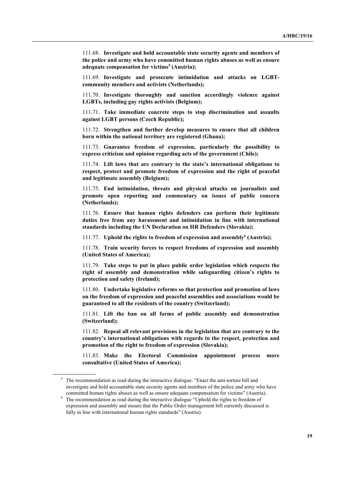111.68. **Investigate and hold accountable state security agents and members of the police and army who have committed human rights abuses as well as ensure adequate compensation for victims<sup>5</sup> (Austria);**

111.69. **Investigate and prosecute intimidation and attacks on LGBTcommunity members and activists (Netherlands);**

111.70. **Investigate thoroughly and sanction accordingly violence against LGBTs, including gay rights activists (Belgium);**

111.71. **Take immediate concrete steps to stop discrimination and assaults against LGBT persons (Czech Republic);**

111.72. **Strengthen and further develop measures to ensure that all children born within the national territory are registered (Ghana);**

111.73. **Guarantee freedom of expression, particularly the possibility to express criticism and opinion regarding acts of the government (Chile);**

111.74. **Lift laws that are contrary to the state's international obligations to respect, protect and promote freedom of expression and the right of peaceful and legitimate assembly (Belgium);**

111.75. **End intimidation, threats and physical attacks on journalists and promote open reporting and commentary on issues of public concern (Netherlands);**

111.76. **Ensure that human rights defenders can perform their legitimate duties free from any harassment and intimidation in line with international standards including the UN Declaration on HR Defenders (Slovakia);**

111.77. **Uphold the rights to freedom of expression and assembly<sup>6</sup> (Austria);**

111.78. **Train security forces to respect freedoms of expression and assembly (United States of America);**

111.79. **Take steps to put in place public order legislation which respects the right of assembly and demonstration while safeguarding citizen's rights to protection and safety (Ireland);**

111.80. **Undertake legislative reforms so that protection and promotion of laws on the freedom of expression and peaceful assemblies and associations would be guaranteed to all the residents of the country (Switzerland);**

111.81. **Lift the ban on all forms of public assembly and demonstration (Switzerland);**

111.82. **Repeal all relevant provisions in the legislation that are contrary to the country's international obligations with regards to the respect, protection and promotion of the right to freedom of expression (Slovakia);**

111.83. **Make the Electoral Commission appointment process more consultative (United States of America);**

<sup>&</sup>lt;sup>5</sup> The recommendation as read during the interactive dialogue: "Enact the anti-torture bill and investigate and hold accountable state security agents and members of the police and army who have committed human rights abuses as well as ensure adequate compensation for victims" (Austria).

<sup>&</sup>lt;sup>6</sup> The recommendation as read during the interactive dialogue "Uphold the rights to freedom of expression and assembly and ensure that the Public Order management bill currently discussed is fully in line with international human rights standards" (Austria).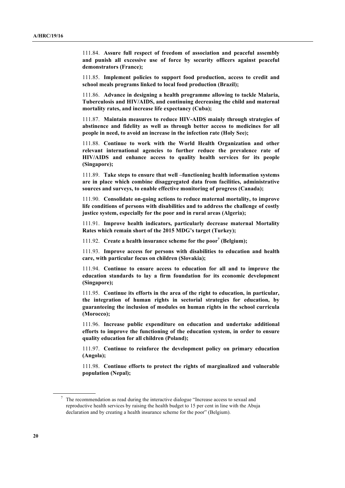111.84. **Assure full respect of freedom of association and peaceful assembly and punish all excessive use of force by security officers against peaceful demonstrators (France);**

111.85. **Implement policies to support food production, access to credit and school meals programs linked to local food production (Brazil);**

111.86. **Advance in designing a health programme allowing to tackle Malaria, Tuberculosis and HIV/AIDS, and continuing decreasing the child and maternal mortality rates, and increase life expectancy (Cuba);**

111.87. **Maintain measures to reduce HIV-AIDS mainly through strategies of abstinence and fidelity as well as through better access to medicines for all people in need, to avoid an increase in the infection rate (Holy See);**

111.88. **Continue to work with the World Health Organization and other relevant international agencies to further reduce the prevalence rate of HIV/AIDS and enhance access to quality health services for its people (Singapore);**

111.89. **Take steps to ensure that well –functioning health information systems are in place which combine disaggregated data from facilities, administrative sources and surveys, to enable effective monitoring of progress (Canada);**

111.90. **Consolidate on-going actions to reduce maternal mortality, to improve life conditions of persons with disabilities and to address the challenge of costly justice system, especially for the poor and in rural areas (Algeria);**

111.91. **Improve health indicators, particularly decrease maternal Mortality Rates which remain short of the 2015 MDG's target (Turkey);**

111.92. **Create a health insurance scheme for the poor<sup>7</sup> (Belgium);**

111.93. **Improve access for persons with disabilities to education and health care, with particular focus on children (Slovakia);**

111.94. **Continue to ensure access to education for all and to improve the education standards to lay a firm foundation for its economic development (Singapore);**

111.95. **Continue its efforts in the area of the right to education, in particular, the integration of human rights in sectorial strategies for education, by guaranteeing the inclusion of modules on human rights in the school curricula (Morocco);**

111.96. **Increase public expenditure on education and undertake additional efforts to improve the functioning of the education system, in order to ensure quality education for all children (Poland);**

111.97. **Continue to reinforce the development policy on primary education (Angola);**

111.98. **Continue efforts to protect the rights of marginalized and vulnerable population (Nepal);**

<sup>7</sup> The recommendation as read during the interactive dialogue "Increase access to sexual and reproductive health services by raising the health budget to 15 per cent in line with the Abuja declaration and by creating a health insurance scheme for the poor" (Belgium).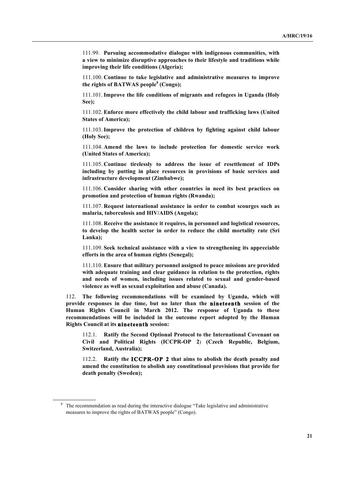111.99. **Pursuing accommodative dialogue with indigenous communities, with a view to minimize disruptive approaches to their lifestyle and traditions while improving their life conditions (Algeria);**

111.100. **Continue to take legislative and administrative measures to improve the rights of BATWAS people<sup>8</sup> (Congo);**

111.101.**Improve the life conditions of migrants and refugees in Uganda (Holy See);**

111.102. **Enforce more effectively the child labour and trafficking laws (United States of America);**

111.103.**Improve the protection of children by fighting against child labour (Holy See);**

111.104. **Amend the laws to include protection for domestic service work (United States of America);**

111.105. **Continue tirelessly to address the issue of resettlement of IDPs including by putting in place resources in provisions of basic services and infrastructure development (Zimbabwe);**

111.106. **Consider sharing with other countries in need its best practices on promotion and protection of human rights (Rwanda);**

111.107. **Request international assistance in order to combat scourges such as malaria, tuberculosis and HIV/AIDS (Angola);**

111.108. **Receive the assistance it requires, in personnel and logistical resources, to develop the health sector in order to reduce the child mortality rate (Sri Lanka);**

111.109. **Seek technical assistance with a view to strengthening its appreciable efforts in the area of human rights (Senegal);**

111.110. **Ensure that military personnel assigned to peace missions are provided with adequate training and clear guidance in relation to the protection, rights and needs of women, including issues related to sexual and gender-based violence as well as sexual exploitation and abuse (Canada).**

112. **The following recommendations will be examined by Uganda, which will provide responses in due time, but no later than the nineteenth session of the Human Rights Council in March 2012. The response of Uganda to these recommendations will be included in the outcome report adopted by the Human Rights Council at its nineteenth session:**

112.1. **Ratify the Second Optional Protocol to the International Covenant on Civil and Political Rights (ICCPR-OP 2**) **(Czech Republic, Belgium, Switzerland, Australia);**

112.2. **Ratify the ICCPR-OP 2 that aims to abolish the death penalty and amend the constitution to abolish any constitutional provisions that provide for death penalty (Sweden);**

<sup>&</sup>lt;sup>8</sup> The recommendation as read during the interactive dialogue "Take legislative and administrative measures to improve the rights of BATWAS people" (Congo).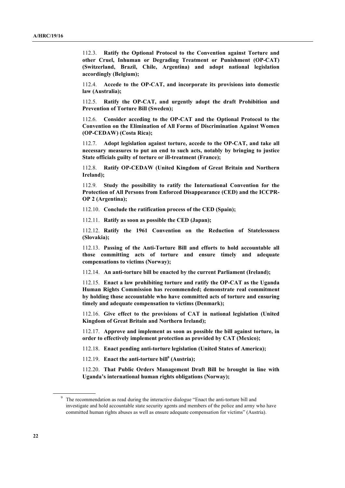112.3. **Ratify the Optional Protocol to the Convention against Torture and other Cruel, Inhuman or Degrading Treatment or Punishment (OP-CAT) (Switzerland, Brazil, Chile, Argentina) and adopt national legislation accordingly (Belgium);**

112.4. **Accede to the OP-CAT, and incorporate its provisions into domestic law (Australia);**

112.5. **Ratify the OP-CAT, and urgently adopt the draft Prohibition and Prevention of Torture Bill (Sweden);**

112.6. **Consider acceding to the OP-CAT and the Optional Protocol to the Convention on the Elimination of All Forms of Discrimination Against Women (OP-CEDAW) (Costa Rica);**

112.7. **Adopt legislation against torture, accede to the OP-CAT, and take all necessary measures to put an end to such acts, notably by bringing to justice State officials guilty of torture or ill-treatment (France);**

112.8. **Ratify OP-CEDAW (United Kingdom of Great Britain and Northern Ireland);**

112.9. **Study the possibility to ratify the International Convention for the Protection of All Persons from Enforced Disappearance (CED) and the ICCPR-OP 2 (Argentina);**

112.10. **Conclude the ratification process of the CED (Spain);**

112.11. **Ratify as soon as possible the CED (Japan);**

112.12. **Ratify the 1961 Convention on the Reduction of Statelessness (Slovakia);**

112.13. **Passing of the Anti-Torture Bill and efforts to hold accountable all those committing acts of torture and ensure timely and adequate compensations to victims (Norway);**

112.14. **An anti-torture bill be enacted by the current Parliament (Ireland);**

112.15. **Enact a law prohibiting torture and ratify the OP-CAT as the Uganda Human Rights Commission has recommended; demonstrate real commitment by holding those accountable who have committed acts of torture and ensuring timely and adequate compensation to victims (Denmark);**

112.16. **Give effect to the provisions of CAT in national legislation (United Kingdom of Great Britain and Northern Ireland);**

112.17. **Approve and implement as soon as possible the bill against torture, in order to effectively implement protection as provided by CAT (Mexico);**

112.18. **Enact pending anti-torture legislation (United States of America);**

112.19. **Enact the anti-torture bill9 (Austria);**

112.20. **That Public Orders Management Draft Bill be brought in line with Uganda's international human rights obligations (Norway);**

<sup>&</sup>lt;sup>9</sup> The recommendation as read during the interactive dialogue "Enact the anti-torture bill and investigate and hold accountable state security agents and members of the police and army who have committed human rights abuses as well as ensure adequate compensation for victims" (Austria).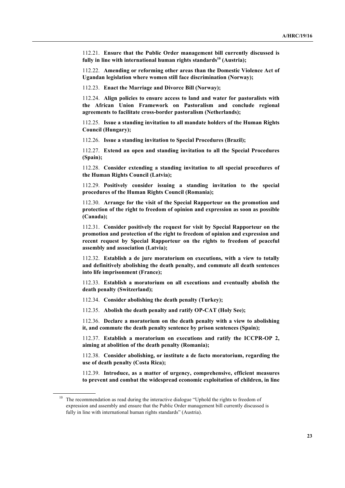112.21. **Ensure that the Public Order management bill currently discussed is**  fully in line with international human rights standards<sup>10</sup> (Austria);

112.22. **Amending or reforming other areas than the Domestic Violence Act of Ugandan legislation where women still face discrimination (Norway);**

112.23. **Enact the Marriage and Divorce Bill (Norway);**

112.24. **Align policies to ensure access to land and water for pastoralists with the African Union Framework on Pastoralism and conclude regional agreements to facilitate cross-border pastoralism (Netherlands);**

112.25. **Issue a standing invitation to all mandate holders of the Human Rights Council (Hungary);**

112.26. **Issue a standing invitation to Special Procedures (Brazil);**

112.27. **Extend an open and standing invitation to all the Special Procedures (Spain);**

112.28. **Consider extending a standing invitation to all special procedures of the Human Rights Council (Latvia);**

112.29. **Positively consider issuing a standing invitation to the special procedures of the Human Rights Council (Romania);**

112.30. **Arrange for the visit of the Special Rapporteur on the promotion and protection of the right to freedom of opinion and expression as soon as possible (Canada);**

112.31. **Consider positively the request for visit by Special Rapporteur on the promotion and protection of the right to freedom of opinion and expression and recent request by Special Rapporteur on the rights to freedom of peaceful assembly and association (Latvia);**

112.32. **Establish a de jure moratorium on executions, with a view to totally and definitively abolishing the death penalty, and commute all death sentences into life imprisonment (France);**

112.33. **Establish a moratorium on all executions and eventually abolish the death penalty (Switzerland);**

112.34. **Consider abolishing the death penalty (Turkey);**

112.35. **Abolish the death penalty and ratify OP-CAT (Holy See);**

112.36. **Declare a moratorium on the death penalty with a view to abolishing it, and commute the death penalty sentence by prison sentences (Spain);**

112.37. **Establish a moratorium on executions and ratify the ICCPR-OP 2, aiming at abolition of the death penalty (Romania);**

112.38. **Consider abolishing, or institute a de facto moratorium, regarding the use of death penalty (Costa Rica);**

112.39. **Introduce, as a matter of urgency, comprehensive, efficient measures to prevent and combat the widespread economic exploitation of children, in line** 

 $10$  The recommendation as read during the interactive dialogue "Uphold the rights to freedom of expression and assembly and ensure that the Public Order management bill currently discussed is fully in line with international human rights standards" (Austria).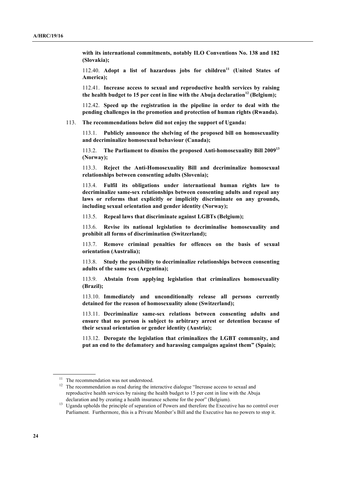**with its international commitments, notably ILO Conventions No. 138 and 182 (Slovakia);**

112.40. **Adopt a list of hazardous jobs for children<sup>11</sup> (United States of America);**

112.41. **Increase access to sexual and reproductive health services by raising the health budget to 15 per cent in line with the Abuja declaration<sup>12</sup> (Belgium);**

112.42. **Speed up the registration in the pipeline in order to deal with the pending challenges in the promotion and protection of human rights (Rwanda).**

113. **The recommendations below did not enjoy the support of Uganda:**

113.1. **Publicly announce the shelving of the proposed bill on homosexuality and decriminalize homosexual behaviour (Canada);**

113.2. **The Parliament to dismiss the proposed Anti-homosexuality Bill 2009<sup>13</sup> (Norway);**

113.3. **Reject the Anti-Homosexuality Bill and decriminalize homosexual relationships between consenting adults (Slovenia);**

113.4. **Fulfil its obligations under international human rights law to decriminalize same-sex relationships between consenting adults and repeal any laws or reforms that explicitly or implicitly discriminate on any grounds, including sexual orientation and gender identity (Norway);**

113.5. **Repeal laws that discriminate against LGBTs (Belgium);**

113.6. **Revise its national legislation to decriminalise homosexuality and prohibit all forms of discrimination (Switzerland);**

113.7. **Remove criminal penalties for offences on the basis of sexual orientation (Australia);**

113.8. **Study the possibility to decriminalize relationships between consenting adults of the same sex (Argentina);**

113.9. **Abstain from applying legislation that criminalizes homosexuality (Brazil);**

113.10. **Immediately and unconditionally release all persons currently detained for the reason of homosexuality alone (Switzerland);**

113.11. **Decriminalize same-sex relations between consenting adults and ensure that no person is subject to arbitrary arrest or detention because of their sexual orientation or gender identity (Austria);**

113.12. **Derogate the legislation that criminalizes the LGBT community, and put an end to the defamatory and harassing campaigns against them" (Spain);**

<sup>&</sup>lt;sup>11</sup> The recommendation was not understood.

<sup>&</sup>lt;sup>12</sup> The recommendation as read during the interactive dialogue "Increase access to sexual and reproductive health services by raising the health budget to 15 per cent in line with the Abuja declaration and by creating a health insurance scheme for the poor" (Belgium).

<sup>&</sup>lt;sup>13</sup> Uganda upholds the principle of separation of Powers and therefore the Executive has no control over Parliament. Furthermore, this is a Private Member's Bill and the Executive has no powers to stop it.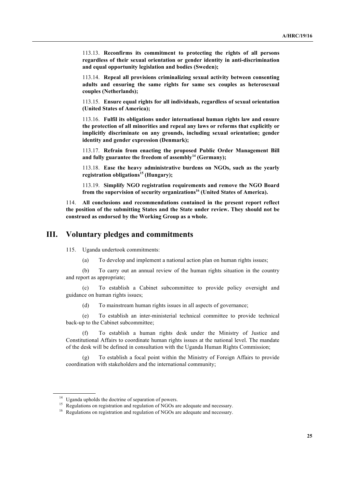113.13. **Reconfirms its commitment to protecting the rights of all persons regardless of their sexual orientation or gender identity in anti-discrimination and equal opportunity legislation and bodies (Sweden);**

113.14. **Repeal all provisions criminalizing sexual activity between consenting adults and ensuring the same rights for same sex couples as heterosexual couples (Netherlands);**

113.15. **Ensure equal rights for all individuals, regardless of sexual orientation (United States of America);**

113.16. **Fulfil its obligations under international human rights law and ensure the protection of all minorities and repeal any laws or reforms that explicitly or implicitly discriminate on any grounds, including sexual orientation; gender identity and gender expression (Denmark);**

113.17. **Refrain from enacting the proposed Public Order Management Bill and fully guarantee the freedom of assembly<sup>14</sup> (Germany);**

113.18. **Ease the heavy administrative burdens on NGOs, such as the yearly registration obligations<sup>15</sup> (Hungary);**

113.19. **Simplify NGO registration requirements and remove the NGO Board from the supervision of security organizations16 (United States of America).**

114. **All conclusions and recommendations contained in the present report reflect the position of the submitting States and the State under review. They should not be construed as endorsed by the Working Group as a whole.**

### **III. Voluntary pledges and commitments**

115. Uganda undertook commitments:

(a) To develop and implement a national action plan on human rights issues;

(b) To carry out an annual review of the human rights situation in the country and report as appropriate;

(c) To establish a Cabinet subcommittee to provide policy oversight and guidance on human rights issues;

(d) To mainstream human rights issues in all aspects of governance;

(e) To establish an inter-ministerial technical committee to provide technical back-up to the Cabinet subcommittee;

(f) To establish a human rights desk under the Ministry of Justice and Constitutional Affairs to coordinate human rights issues at the national level. The mandate of the desk will be defined in consultation with the Uganda Human Rights Commission;

(g) To establish a focal point within the Ministry of Foreign Affairs to provide coordination with stakeholders and the international community;

<sup>&</sup>lt;sup>14</sup> Uganda upholds the doctrine of separation of powers.

<sup>&</sup>lt;sup>15</sup> Regulations on registration and regulation of NGOs are adequate and necessary.

<sup>&</sup>lt;sup>16</sup> Regulations on registration and regulation of NGOs are adequate and necessary.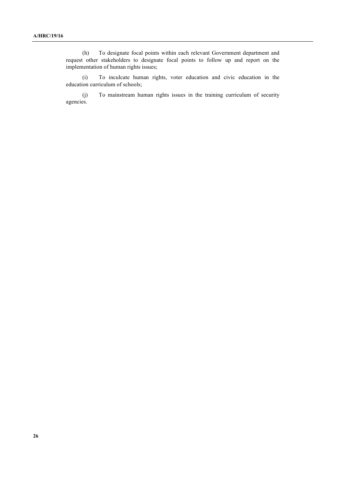(h) To designate focal points within each relevant Government department and request other stakeholders to designate focal points to follow up and report on the implementation of human rights issues;

(i) To inculcate human rights, voter education and civic education in the education curriculum of schools;

(j) To mainstream human rights issues in the training curriculum of security agencies.